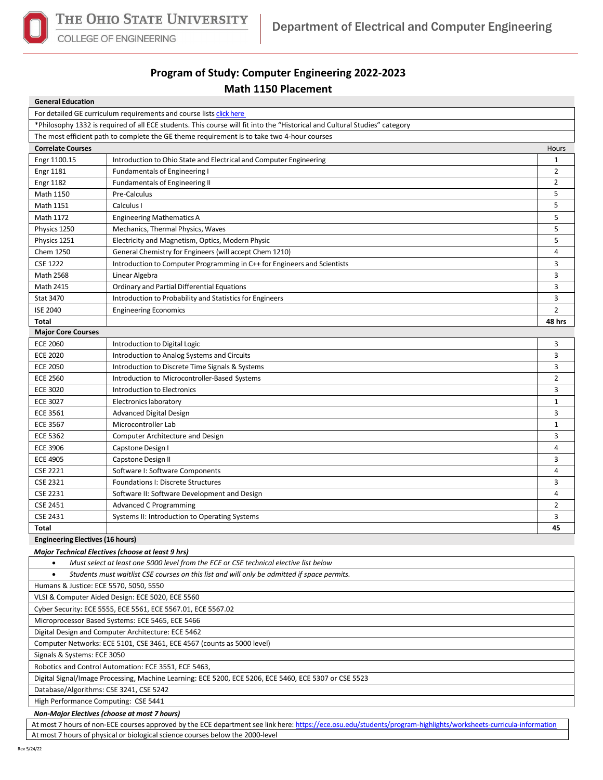

COLLEGE OF ENGINEERING

## **Program of Study: Computer Engineering 2022-2023 Math 1150 Placement**

| <b>General Education</b>                                                                                                     |                                                                                             |                |  |  |  |  |
|------------------------------------------------------------------------------------------------------------------------------|---------------------------------------------------------------------------------------------|----------------|--|--|--|--|
| For detailed GE curriculum requirements and course lists click here                                                          |                                                                                             |                |  |  |  |  |
| *Philosophy 1332 is required of all ECE students. This course will fit into the "Historical and Cultural Studies" category   |                                                                                             |                |  |  |  |  |
| The most efficient path to complete the GE theme requirement is to take two 4-hour courses                                   |                                                                                             |                |  |  |  |  |
| <b>Correlate Courses</b>                                                                                                     |                                                                                             | Hours          |  |  |  |  |
| Engr 1100.15                                                                                                                 | Introduction to Ohio State and Electrical and Computer Engineering                          | 1              |  |  |  |  |
| <b>Engr 1181</b>                                                                                                             | <b>Fundamentals of Engineering I</b>                                                        | $\overline{2}$ |  |  |  |  |
| <b>Engr 1182</b>                                                                                                             | <b>Fundamentals of Engineering II</b>                                                       | $\overline{2}$ |  |  |  |  |
| Math 1150                                                                                                                    | Pre-Calculus                                                                                | 5              |  |  |  |  |
| Math 1151                                                                                                                    | Calculus I                                                                                  | 5              |  |  |  |  |
| Math 1172                                                                                                                    | <b>Engineering Mathematics A</b>                                                            | 5              |  |  |  |  |
| Physics 1250                                                                                                                 | Mechanics, Thermal Physics, Waves                                                           | 5              |  |  |  |  |
| Physics 1251                                                                                                                 | Electricity and Magnetism, Optics, Modern Physic                                            | 5              |  |  |  |  |
| Chem 1250                                                                                                                    | General Chemistry for Engineers (will accept Chem 1210)                                     | 4              |  |  |  |  |
| <b>CSE 1222</b>                                                                                                              | Introduction to Computer Programming in C++ for Engineers and Scientists                    | 3              |  |  |  |  |
| <b>Math 2568</b>                                                                                                             | Linear Algebra                                                                              | 3              |  |  |  |  |
| <b>Math 2415</b>                                                                                                             | Ordinary and Partial Differential Equations                                                 | 3              |  |  |  |  |
| <b>Stat 3470</b>                                                                                                             | Introduction to Probability and Statistics for Engineers                                    | 3              |  |  |  |  |
| <b>ISE 2040</b>                                                                                                              | <b>Engineering Economics</b>                                                                | $\overline{2}$ |  |  |  |  |
| Total                                                                                                                        |                                                                                             | 48 hrs         |  |  |  |  |
| <b>Major Core Courses</b>                                                                                                    |                                                                                             |                |  |  |  |  |
| <b>ECE 2060</b>                                                                                                              | Introduction to Digital Logic                                                               | 3              |  |  |  |  |
| <b>ECE 2020</b>                                                                                                              | Introduction to Analog Systems and Circuits                                                 | 3              |  |  |  |  |
| <b>ECE 2050</b>                                                                                                              | Introduction to Discrete Time Signals & Systems                                             | 3              |  |  |  |  |
| <b>ECE 2560</b>                                                                                                              | Introduction to Microcontroller-Based Systems                                               | $\overline{2}$ |  |  |  |  |
| <b>ECE 3020</b>                                                                                                              | Introduction to Electronics                                                                 | 3              |  |  |  |  |
| <b>ECE 3027</b>                                                                                                              | Electronics laboratory                                                                      | $\mathbf{1}$   |  |  |  |  |
| <b>ECE 3561</b>                                                                                                              | Advanced Digital Design                                                                     | 3              |  |  |  |  |
| <b>ECE 3567</b>                                                                                                              | Microcontroller Lab                                                                         | 1              |  |  |  |  |
| <b>ECE 5362</b>                                                                                                              | Computer Architecture and Design                                                            | 3              |  |  |  |  |
| <b>ECE 3906</b>                                                                                                              | Capstone Design I                                                                           | 4              |  |  |  |  |
| <b>ECE 4905</b>                                                                                                              | Capstone Design II                                                                          | 3              |  |  |  |  |
| <b>CSE 2221</b>                                                                                                              | Software I: Software Components                                                             | 4              |  |  |  |  |
| <b>CSE 2321</b>                                                                                                              | Foundations I: Discrete Structures                                                          | 3              |  |  |  |  |
| <b>CSE 2231</b>                                                                                                              | Software II: Software Development and Design                                                | 4              |  |  |  |  |
| <b>CSE 2451</b>                                                                                                              | <b>Advanced C Programming</b>                                                               | $\overline{2}$ |  |  |  |  |
| CSE 2431                                                                                                                     | Systems II: Introduction to Operating Systems                                               | 3              |  |  |  |  |
| Total                                                                                                                        |                                                                                             | 45             |  |  |  |  |
| <b>Engineering Electives (16 hours)</b>                                                                                      |                                                                                             |                |  |  |  |  |
|                                                                                                                              | Major Technical Electives (choose at least 9 hrs)                                           |                |  |  |  |  |
| $\bullet$                                                                                                                    | Must select at least one 5000 level from the ECE or CSE technical elective list below       |                |  |  |  |  |
| $\bullet$                                                                                                                    | Students must waitlist CSE courses on this list and will only be admitted if space permits. |                |  |  |  |  |
| Humans & Justice: ECE 5570, 5050, 5550                                                                                       |                                                                                             |                |  |  |  |  |
| VLSI & Computer Aided Design: ECE 5020, ECE 5560                                                                             |                                                                                             |                |  |  |  |  |
| Cyber Security: ECE 5555, ECE 5561, ECE 5567.01, ECE 5567.02                                                                 |                                                                                             |                |  |  |  |  |
|                                                                                                                              |                                                                                             |                |  |  |  |  |
| Microprocessor Based Systems: ECE 5465, ECE 5466                                                                             |                                                                                             |                |  |  |  |  |
| Digital Design and Computer Architecture: ECE 5462<br>Computer Networks: ECE 5101, CSE 3461, ECE 4567 (counts as 5000 level) |                                                                                             |                |  |  |  |  |
| Signals & Systems: ECE 3050                                                                                                  |                                                                                             |                |  |  |  |  |
| Robotics and Control Automation: ECE 3551, ECE 5463,                                                                         |                                                                                             |                |  |  |  |  |
| Digital Signal/Image Processing, Machine Learning: ECE 5200, ECE 5206, ECE 5460, ECE 5307 or CSE 5523                        |                                                                                             |                |  |  |  |  |
| Database/Algorithms: CSE 3241, CSE 5242                                                                                      |                                                                                             |                |  |  |  |  |
| High Performance Computing: CSE 5441                                                                                         |                                                                                             |                |  |  |  |  |
|                                                                                                                              |                                                                                             |                |  |  |  |  |
| Non-Major Electives (choose at most 7 hours)                                                                                 |                                                                                             |                |  |  |  |  |

At most 7 hours of non-ECE courses approved by the ECE department see link here[: https://ece.osu.edu/students/program-highlights/worksheets-curricula-information](https://ece.osu.edu/students/program-highlights/worksheets-curricula-information) At most 7 hours of physical or biological science courses below the 2000-level